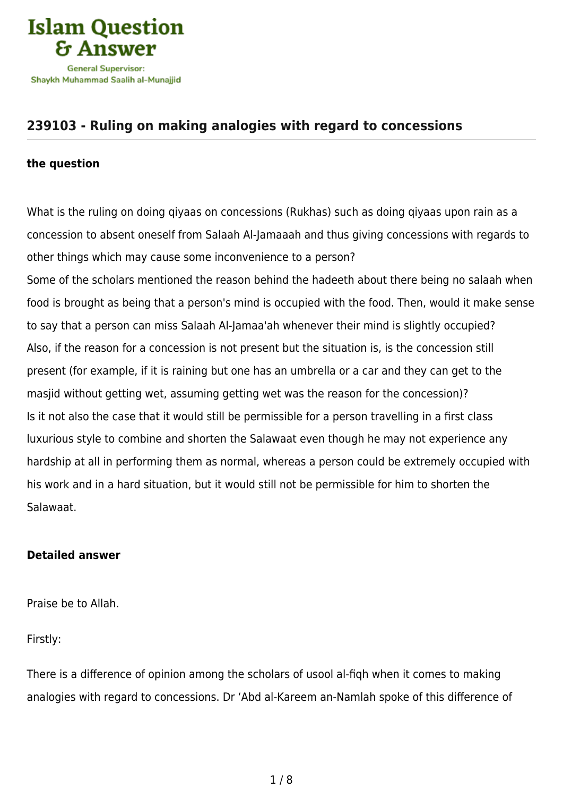

## **[239103 - Ruling on making analogies with regard to concessions](https://islamqa.com/en/answers/239103/ruling-on-making-analogies-with-regard-to-concessions)**

## **the question**

What is the ruling on doing qiyaas on concessions (Rukhas) such as doing qiyaas upon rain as a concession to absent oneself from Salaah Al-Jamaaah and thus giving concessions with regards to other things which may cause some inconvenience to a person? Some of the scholars mentioned the reason behind the hadeeth about there being no salaah when food is brought as being that a person's mind is occupied with the food. Then, would it make sense to say that a person can miss Salaah Al-Jamaa'ah whenever their mind is slightly occupied? Also, if the reason for a concession is not present but the situation is, is the concession still present (for example, if it is raining but one has an umbrella or a car and they can get to the masjid without getting wet, assuming getting wet was the reason for the concession)? Is it not also the case that it would still be permissible for a person travelling in a first class luxurious style to combine and shorten the Salawaat even though he may not experience any hardship at all in performing them as normal, whereas a person could be extremely occupied with his work and in a hard situation, but it would still not be permissible for him to shorten the Salawaat.

## **Detailed answer**

Praise be to Allah.

Firstly:

There is a difference of opinion among the scholars of usool al-fiqh when it comes to making analogies with regard to concessions. Dr 'Abd al-Kareem an-Namlah spoke of this difference of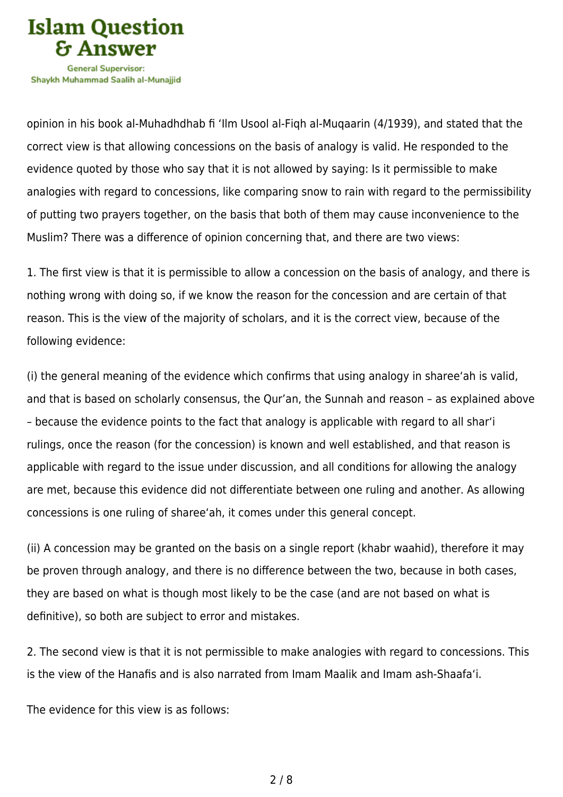

opinion in his book al-Muhadhdhab fi 'Ilm Usool al-Fiqh al-Muqaarin (4/1939), and stated that the correct view is that allowing concessions on the basis of analogy is valid. He responded to the evidence quoted by those who say that it is not allowed by saying: Is it permissible to make analogies with regard to concessions, like comparing snow to rain with regard to the permissibility of putting two prayers together, on the basis that both of them may cause inconvenience to the Muslim? There was a difference of opinion concerning that, and there are two views:

1. The first view is that it is permissible to allow a concession on the basis of analogy, and there is nothing wrong with doing so, if we know the reason for the concession and are certain of that reason. This is the view of the majority of scholars, and it is the correct view, because of the following evidence:

(i) the general meaning of the evidence which confirms that using analogy in sharee'ah is valid, and that is based on scholarly consensus, the Qur'an, the Sunnah and reason – as explained above – because the evidence points to the fact that analogy is applicable with regard to all shar'i rulings, once the reason (for the concession) is known and well established, and that reason is applicable with regard to the issue under discussion, and all conditions for allowing the analogy are met, because this evidence did not differentiate between one ruling and another. As allowing concessions is one ruling of sharee'ah, it comes under this general concept.

(ii) A concession may be granted on the basis on a single report (khabr waahid), therefore it may be proven through analogy, and there is no difference between the two, because in both cases, they are based on what is though most likely to be the case (and are not based on what is definitive), so both are subject to error and mistakes.

2. The second view is that it is not permissible to make analogies with regard to concessions. This is the view of the Hanafis and is also narrated from Imam Maalik and Imam ash-Shaafa'i.

The evidence for this view is as follows: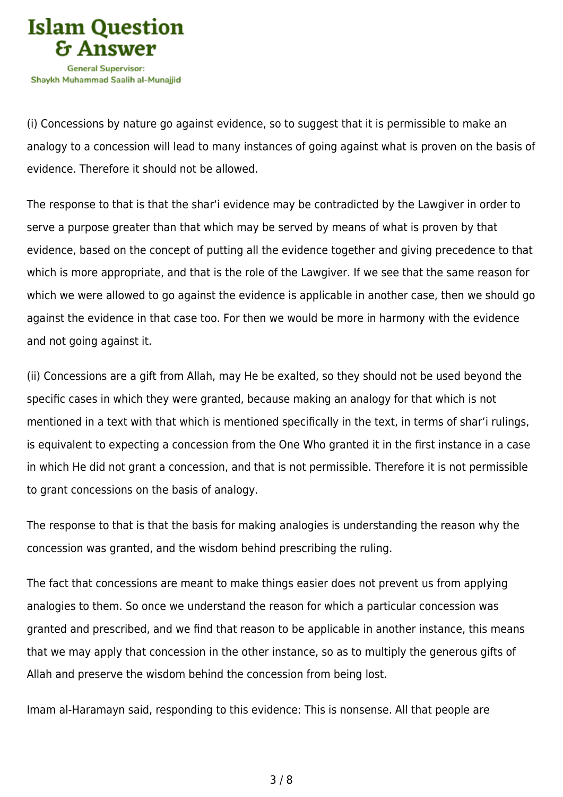

(i) Concessions by nature go against evidence, so to suggest that it is permissible to make an analogy to a concession will lead to many instances of going against what is proven on the basis of evidence. Therefore it should not be allowed.

The response to that is that the shar'i evidence may be contradicted by the Lawgiver in order to serve a purpose greater than that which may be served by means of what is proven by that evidence, based on the concept of putting all the evidence together and giving precedence to that which is more appropriate, and that is the role of the Lawgiver. If we see that the same reason for which we were allowed to go against the evidence is applicable in another case, then we should go against the evidence in that case too. For then we would be more in harmony with the evidence and not going against it.

(ii) Concessions are a gift from Allah, may He be exalted, so they should not be used beyond the specific cases in which they were granted, because making an analogy for that which is not mentioned in a text with that which is mentioned specifically in the text, in terms of shar'i rulings, is equivalent to expecting a concession from the One Who granted it in the first instance in a case in which He did not grant a concession, and that is not permissible. Therefore it is not permissible to grant concessions on the basis of analogy.

The response to that is that the basis for making analogies is understanding the reason why the concession was granted, and the wisdom behind prescribing the ruling.

The fact that concessions are meant to make things easier does not prevent us from applying analogies to them. So once we understand the reason for which a particular concession was granted and prescribed, and we find that reason to be applicable in another instance, this means that we may apply that concession in the other instance, so as to multiply the generous gifts of Allah and preserve the wisdom behind the concession from being lost.

Imam al-Haramayn said, responding to this evidence: This is nonsense. All that people are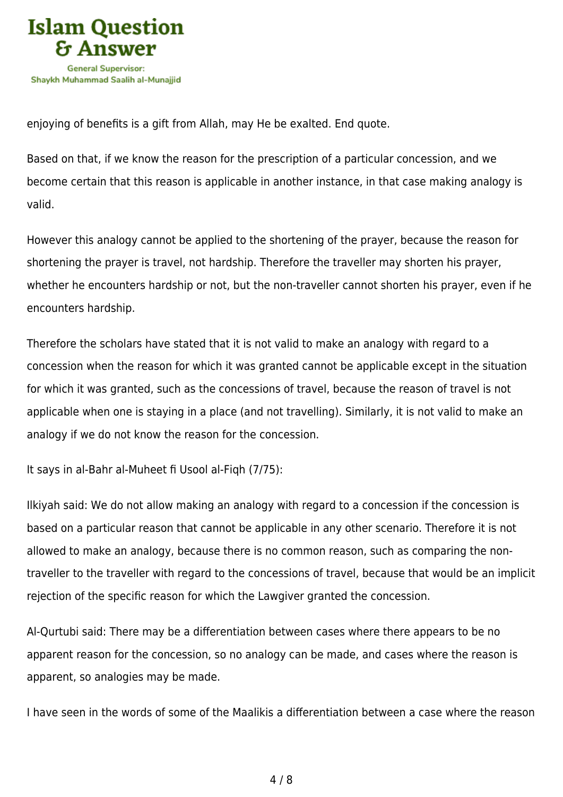

enjoying of benefits is a gift from Allah, may He be exalted. End quote.

Based on that, if we know the reason for the prescription of a particular concession, and we become certain that this reason is applicable in another instance, in that case making analogy is valid.

However this analogy cannot be applied to the shortening of the prayer, because the reason for shortening the prayer is travel, not hardship. Therefore the traveller may shorten his prayer, whether he encounters hardship or not, but the non-traveller cannot shorten his prayer, even if he encounters hardship.

Therefore the scholars have stated that it is not valid to make an analogy with regard to a concession when the reason for which it was granted cannot be applicable except in the situation for which it was granted, such as the concessions of travel, because the reason of travel is not applicable when one is staying in a place (and not travelling). Similarly, it is not valid to make an analogy if we do not know the reason for the concession.

It says in al-Bahr al-Muheet fi Usool al-Fiqh (7/75):

Ilkiyah said: We do not allow making an analogy with regard to a concession if the concession is based on a particular reason that cannot be applicable in any other scenario. Therefore it is not allowed to make an analogy, because there is no common reason, such as comparing the nontraveller to the traveller with regard to the concessions of travel, because that would be an implicit rejection of the specific reason for which the Lawgiver granted the concession.

Al-Qurtubi said: There may be a differentiation between cases where there appears to be no apparent reason for the concession, so no analogy can be made, and cases where the reason is apparent, so analogies may be made.

I have seen in the words of some of the Maalikis a differentiation between a case where the reason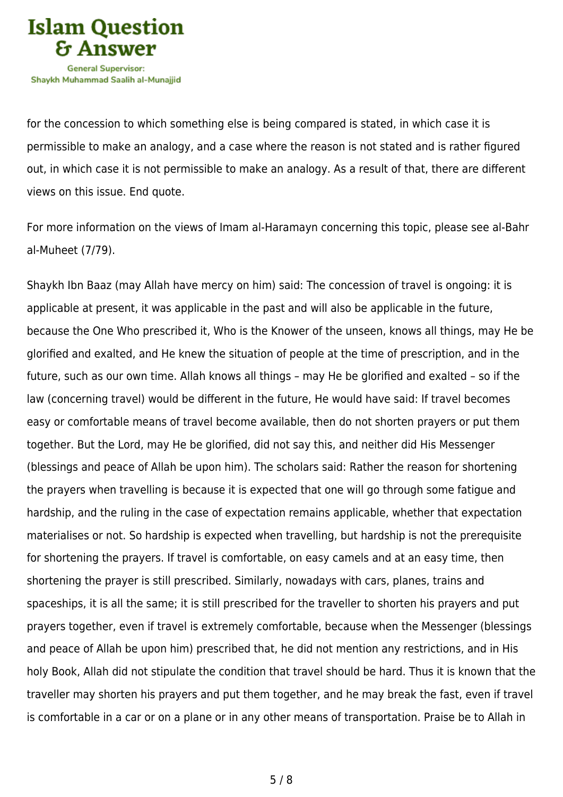

for the concession to which something else is being compared is stated, in which case it is permissible to make an analogy, and a case where the reason is not stated and is rather figured out, in which case it is not permissible to make an analogy. As a result of that, there are different views on this issue. End quote.

For more information on the views of Imam al-Haramayn concerning this topic, please see al-Bahr al-Muheet (7/79).

Shaykh Ibn Baaz (may Allah have mercy on him) said: The concession of travel is ongoing: it is applicable at present, it was applicable in the past and will also be applicable in the future, because the One Who prescribed it, Who is the Knower of the unseen, knows all things, may He be glorified and exalted, and He knew the situation of people at the time of prescription, and in the future, such as our own time. Allah knows all things – may He be glorified and exalted – so if the law (concerning travel) would be different in the future, He would have said: If travel becomes easy or comfortable means of travel become available, then do not shorten prayers or put them together. But the Lord, may He be glorified, did not say this, and neither did His Messenger (blessings and peace of Allah be upon him). The scholars said: Rather the reason for shortening the prayers when travelling is because it is expected that one will go through some fatigue and hardship, and the ruling in the case of expectation remains applicable, whether that expectation materialises or not. So hardship is expected when travelling, but hardship is not the prerequisite for shortening the prayers. If travel is comfortable, on easy camels and at an easy time, then shortening the prayer is still prescribed. Similarly, nowadays with cars, planes, trains and spaceships, it is all the same; it is still prescribed for the traveller to shorten his prayers and put prayers together, even if travel is extremely comfortable, because when the Messenger (blessings and peace of Allah be upon him) prescribed that, he did not mention any restrictions, and in His holy Book, Allah did not stipulate the condition that travel should be hard. Thus it is known that the traveller may shorten his prayers and put them together, and he may break the fast, even if travel is comfortable in a car or on a plane or in any other means of transportation. Praise be to Allah in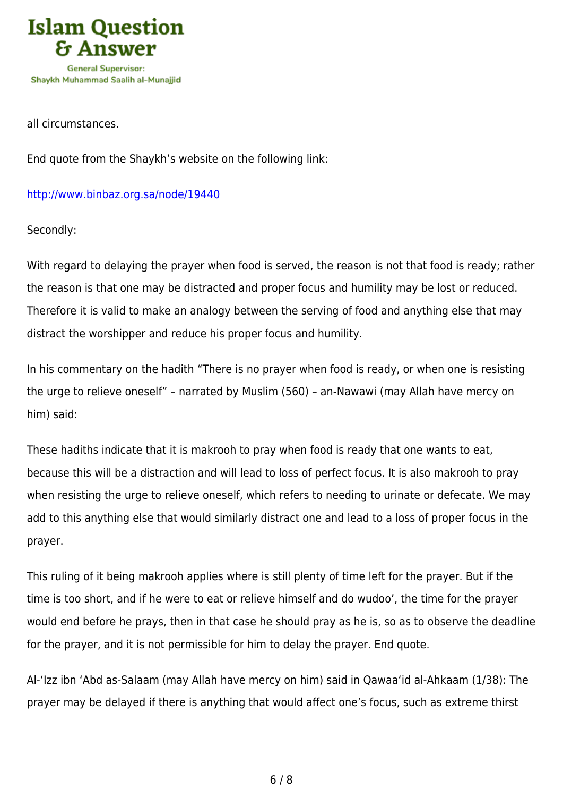

all circumstances.

End quote from the Shaykh's website on the following link:

<http://www.binbaz.org.sa/node/19440>

Secondly:

With regard to delaying the prayer when food is served, the reason is not that food is ready; rather the reason is that one may be distracted and proper focus and humility may be lost or reduced. Therefore it is valid to make an analogy between the serving of food and anything else that may distract the worshipper and reduce his proper focus and humility.

In his commentary on the hadith "There is no prayer when food is ready, or when one is resisting the urge to relieve oneself" – narrated by Muslim (560) – an-Nawawi (may Allah have mercy on him) said:

These hadiths indicate that it is makrooh to pray when food is ready that one wants to eat, because this will be a distraction and will lead to loss of perfect focus. It is also makrooh to pray when resisting the urge to relieve oneself, which refers to needing to urinate or defecate. We may add to this anything else that would similarly distract one and lead to a loss of proper focus in the prayer.

This ruling of it being makrooh applies where is still plenty of time left for the prayer. But if the time is too short, and if he were to eat or relieve himself and do wudoo', the time for the prayer would end before he prays, then in that case he should pray as he is, so as to observe the deadline for the prayer, and it is not permissible for him to delay the prayer. End quote.

Al-'Izz ibn 'Abd as-Salaam (may Allah have mercy on him) said in Qawaa'id al-Ahkaam (1/38): The prayer may be delayed if there is anything that would affect one's focus, such as extreme thirst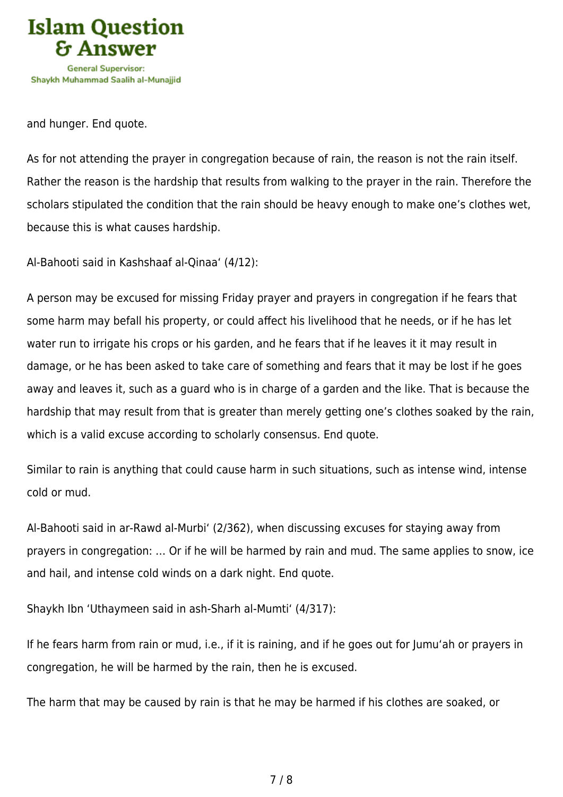

and hunger. End quote.

As for not attending the prayer in congregation because of rain, the reason is not the rain itself. Rather the reason is the hardship that results from walking to the prayer in the rain. Therefore the scholars stipulated the condition that the rain should be heavy enough to make one's clothes wet, because this is what causes hardship.

Al-Bahooti said in Kashshaaf al-Qinaa' (4/12):

A person may be excused for missing Friday prayer and prayers in congregation if he fears that some harm may befall his property, or could affect his livelihood that he needs, or if he has let water run to irrigate his crops or his garden, and he fears that if he leaves it it may result in damage, or he has been asked to take care of something and fears that it may be lost if he goes away and leaves it, such as a guard who is in charge of a garden and the like. That is because the hardship that may result from that is greater than merely getting one's clothes soaked by the rain, which is a valid excuse according to scholarly consensus. End quote.

Similar to rain is anything that could cause harm in such situations, such as intense wind, intense cold or mud.

Al-Bahooti said in ar-Rawd al-Murbi' (2/362), when discussing excuses for staying away from prayers in congregation: … Or if he will be harmed by rain and mud. The same applies to snow, ice and hail, and intense cold winds on a dark night. End quote.

Shaykh Ibn 'Uthaymeen said in ash-Sharh al-Mumti' (4/317):

If he fears harm from rain or mud, i.e., if it is raining, and if he goes out for Jumu'ah or prayers in congregation, he will be harmed by the rain, then he is excused.

The harm that may be caused by rain is that he may be harmed if his clothes are soaked, or